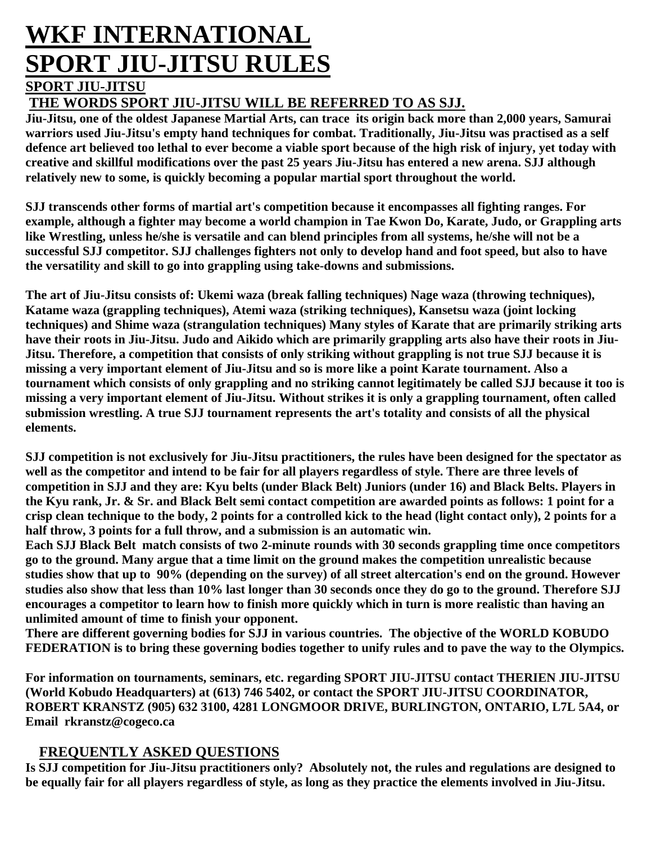# **WKF INTERNATIONAL SPORT JIU-JITSU RULES**

# **SPORT JIU-JITSU**

## **THE WORDS SPORT JIU-JITSU WILL BE REFERRED TO AS SJJ.**

**Jiu-Jitsu, one of the oldest Japanese Martial Arts, can trace its origin back more than 2,000 years, Samurai warriors used Jiu-Jitsu's empty hand techniques for combat. Traditionally, Jiu-Jitsu was practised as a self defence art believed too lethal to ever become a viable sport because of the high risk of injury, yet today with creative and skillful modifications over the past 25 years Jiu-Jitsu has entered a new arena. SJJ although relatively new to some, is quickly becoming a popular martial sport throughout the world.**

**SJJ transcends other forms of martial art's competition because it encompasses all fighting ranges. For example, although a fighter may become a world champion in Tae Kwon Do, Karate, Judo, or Grappling arts like Wrestling, unless he/she is versatile and can blend principles from all systems, he/she will not be a successful SJJ competitor. SJJ challenges fighters not only to develop hand and foot speed, but also to have the versatility and skill to go into grappling using take-downs and submissions.**

**The art of Jiu-Jitsu consists of: Ukemi waza (break falling techniques) Nage waza (throwing techniques), Katame waza (grappling techniques), Atemi waza (striking techniques), Kansetsu waza (joint locking techniques) and Shime waza (strangulation techniques) Many styles of Karate that are primarily striking arts have their roots in Jiu-Jitsu. Judo and Aikido which are primarily grappling arts also have their roots in Jiu-Jitsu. Therefore, a competition that consists of only striking without grappling is not true SJJ because it is missing a very important element of Jiu-Jitsu and so is more like a point Karate tournament. Also a tournament which consists of only grappling and no striking cannot legitimately be called SJJ because it too is missing a very important element of Jiu-Jitsu. Without strikes it is only a grappling tournament, often called submission wrestling. A true SJJ tournament represents the art's totality and consists of all the physical elements.**

**SJJ competition is not exclusively for Jiu-Jitsu practitioners, the rules have been designed for the spectator as**  well as the competitor and intend to be fair for all players regardless of style. There are three levels of **competition in SJJ and they are: Kyu belts (under Black Belt) Juniors (under 16) and Black Belts. Players in the Kyu rank, Jr. & Sr. and Black Belt semi contact competition are awarded points as follows: 1 point for a crisp clean technique to the body, 2 points for a controlled kick to the head (light contact only), 2 points for a half throw, 3 points for a full throw, and a submission is an automatic win.**

**Each SJJ Black Belt match consists of two 2-minute rounds with 30 seconds grappling time once competitors go to the ground. Many argue that a time limit on the ground makes the competition unrealistic because studies show that up to 90% (depending on the survey) of all street altercation's end on the ground. However studies also show that less than 10% last longer than 30 seconds once they do go to the ground. Therefore SJJ encourages a competitor to learn how to finish more quickly which in turn is more realistic than having an unlimited amount of time to finish your opponent.**

**There are different governing bodies for SJJ in various countries. The objective of the WORLD KOBUDO FEDERATION is to bring these governing bodies together to unify rules and to pave the way to the Olympics.**

**For information on tournaments, seminars, etc. regarding SPORT JIU-JITSU contact THERIEN JIU-JITSU (World Kobudo Headquarters) at (613) 746 5402, or contact the SPORT JIU-JITSU COORDINATOR, ROBERT KRANSTZ (905) 632 3100, 4281 LONGMOOR DRIVE, BURLINGTON, ONTARIO, L7L 5A4, or Email rkranstz@cogeco.ca**

#### **FREQUENTLY ASKED QUESTIONS**

**Is SJJ competition for Jiu-Jitsu practitioners only? Absolutely not, the rules and regulations are designed to be equally fair for all players regardless of style, as long as they practice the elements involved in Jiu-Jitsu.**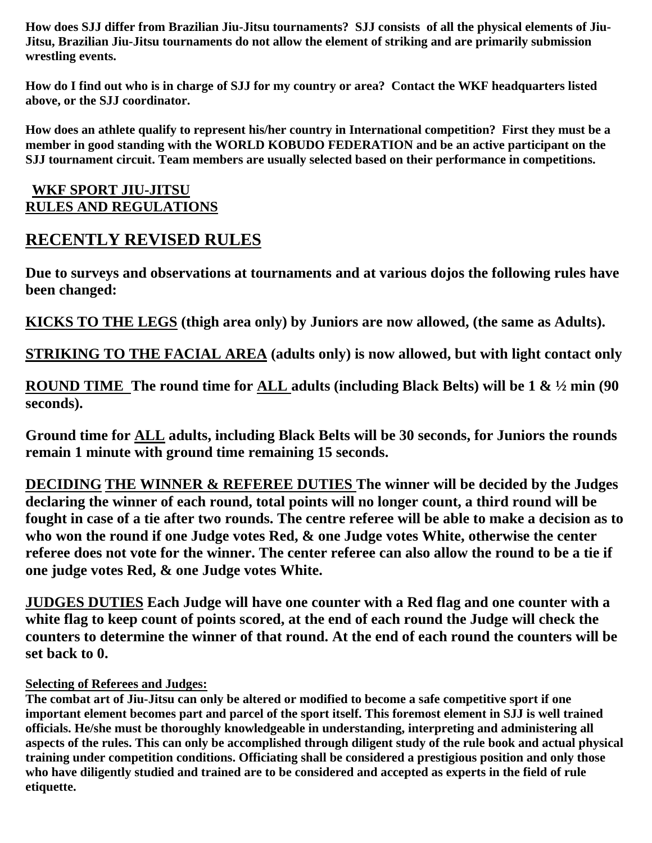**How does SJJ differ from Brazilian Jiu-Jitsu tournaments? SJJ consists of all the physical elements of Jiu-Jitsu, Brazilian Jiu-Jitsu tournaments do not allow the element of striking and are primarily submission wrestling events.**

**How do I find out who is in charge of SJJ for my country or area? Contact the WKF headquarters listed above, or the SJJ coordinator.**

**How does an athlete qualify to represent his/her country in International competition? First they must be a member in good standing with the WORLD KOBUDO FEDERATION and be an active participant on the SJJ tournament circuit. Team members are usually selected based on their performance in competitions.**

#### **WKF SPORT JIU-JITSU RULES AND REGULATIONS**

# **RECENTLY REVISED RULES**

**Due to surveys and observations at tournaments and at various dojos the following rules have been changed:**

**KICKS TO THE LEGS (thigh area only) by Juniors are now allowed, (the same as Adults).**

**STRIKING TO THE FACIAL AREA (adults only) is now allowed, but with light contact only**

**ROUND TIME The round time for ALL adults (including Black Belts) will be 1 & ½ min (90 seconds).** 

**Ground time for ALL adults, including Black Belts will be 30 seconds, for Juniors the rounds remain 1 minute with ground time remaining 15 seconds.** 

**DECIDING THE WINNER & REFEREE DUTIES The winner will be decided by the Judges declaring the winner of each round, total points will no longer count, a third round will be fought in case of a tie after two rounds. The centre referee will be able to make a decision as to who won the round if one Judge votes Red, & one Judge votes White, otherwise the center referee does not vote for the winner. The center referee can also allow the round to be a tie if one judge votes Red, & one Judge votes White.** 

**JUDGES DUTIES Each Judge will have one counter with a Red flag and one counter with a**  white flag to keep count of points scored, at the end of each round the Judge will check the **counters to determine the winner of that round. At the end of each round the counters will be set back to 0.**

#### **Selecting of Referees and Judges:**

**The combat art of Jiu-Jitsu can only be altered or modified to become a safe competitive sport if one important element becomes part and parcel of the sport itself. This foremost element in SJJ is well trained officials. He/she must be thoroughly knowledgeable in understanding, interpreting and administering all aspects of the rules. This can only be accomplished through diligent study of the rule book and actual physical training under competition conditions. Officiating shall be considered a prestigious position and only those who have diligently studied and trained are to be considered and accepted as experts in the field of rule etiquette.**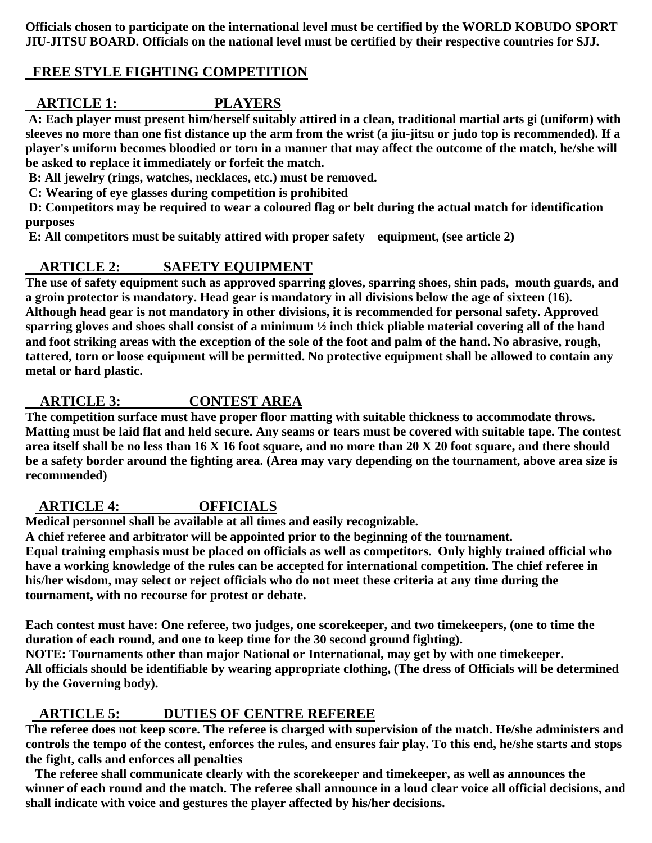**Officials chosen to participate on the international level must be certified by the WORLD KOBUDO SPORT JIU-JITSU BOARD. Officials on the national level must be certified by their respective countries for SJJ.**

## **FREE STYLE FIGHTING COMPETITION**

## **ARTICLE 1: PLAYERS**

 **A: Each player must present him/herself suitably attired in a clean, traditional martial arts gi (uniform) with sleeves no more than one fist distance up the arm from the wrist (a jiu-jitsu or judo top is recommended). If a player's uniform becomes bloodied or torn in a manner that may affect the outcome of the match, he/she will be asked to replace it immediately or forfeit the match.**

 **B: All jewelry (rings, watches, necklaces, etc.) must be removed.**

 **C: Wearing of eye glasses during competition is prohibited**

 **D: Competitors may be required to wear a coloured flag or belt during the actual match for identification purposes**

 **E: All competitors must be suitably attired with proper safety equipment, (see article 2)**

#### **ARTICLE 2: SAFETY EQUIPMENT**

**The use of safety equipment such as approved sparring gloves, sparring shoes, shin pads, mouth guards, and a groin protector is mandatory. Head gear is mandatory in all divisions below the age of sixteen (16). Although head gear is not mandatory in other divisions, it is recommended for personal safety. Approved sparring gloves and shoes shall consist of a minimum ½ inch thick pliable material covering all of the hand and foot striking areas with the exception of the sole of the foot and palm of the hand. No abrasive, rough, tattered, torn or loose equipment will be permitted. No protective equipment shall be allowed to contain any metal or hard plastic.**

## **ARTICLE 3: CONTEST AREA**

**The competition surface must have proper floor matting with suitable thickness to accommodate throws. Matting must be laid flat and held secure. Any seams or tears must be covered with suitable tape. The contest area itself shall be no less than 16 X 16 foot square, and no more than 20 X 20 foot square, and there should be a safety border around the fighting area. (Area may vary depending on the tournament, above area size is recommended)**

#### **ARTICLE 4: OFFICIALS**

**Medical personnel shall be available at all times and easily recognizable.**

**A chief referee and arbitrator will be appointed prior to the beginning of the tournament.**

**Equal training emphasis must be placed on officials as well as competitors. Only highly trained official who have a working knowledge of the rules can be accepted for international competition. The chief referee in his/her wisdom, may select or reject officials who do not meet these criteria at any time during the tournament, with no recourse for protest or debate.**

**Each contest must have: One referee, two judges, one scorekeeper, and two timekeepers, (one to time the duration of each round, and one to keep time for the 30 second ground fighting).**

**NOTE: Tournaments other than major National or International, may get by with one timekeeper. All officials should be identifiable by wearing appropriate clothing, (The dress of Officials will be determined by the Governing body).**

## **ARTICLE 5: DUTIES OF CENTRE REFEREE**

**The referee does not keep score. The referee is charged with supervision of the match. He/she administers and controls the tempo of the contest, enforces the rules, and ensures fair play. To this end, he/she starts and stops the fight, calls and enforces all penalties**

 **The referee shall communicate clearly with the scorekeeper and timekeeper, as well as announces the winner of each round and the match. The referee shall announce in a loud clear voice all official decisions, and shall indicate with voice and gestures the player affected by his/her decisions.**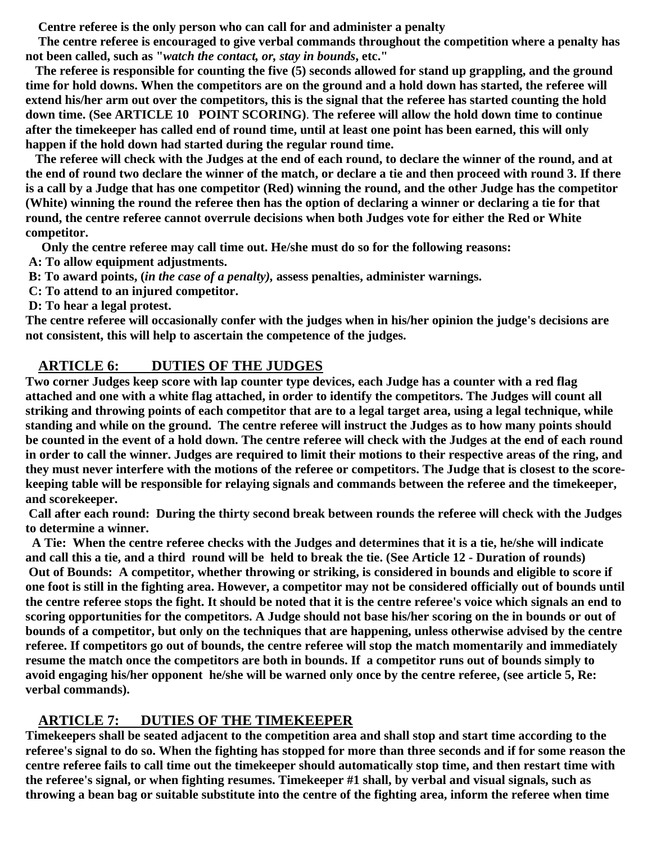**Centre referee is the only person who can call for and administer a penalty**

 **The centre referee is encouraged to give verbal commands throughout the competition where a penalty has not been called, such as "***watch the contact, or, stay in bounds***, etc."**

 **The referee is responsible for counting the five (5) seconds allowed for stand up grappling, and the ground time for hold downs. When the competitors are on the ground and a hold down has started, the referee will extend his/her arm out over the competitors, this is the signal that the referee has started counting the hold down time. (See ARTICLE 10 POINT SCORING)**. **The referee will allow the hold down time to continue after the timekeeper has called end of round time, until at least one point has been earned, this will only happen if the hold down had started during the regular round time.**

 **The referee will check with the Judges at the end of each round, to declare the winner of the round, and at the end of round two declare the winner of the match, or declare a tie and then proceed with round 3. If there is a call by a Judge that has one competitor (Red) winning the round, and the other Judge has the competitor (White) winning the round the referee then has the option of declaring a winner or declaring a tie for that round, the centre referee cannot overrule decisions when both Judges vote for either the Red or White competitor.**

 **Only the centre referee may call time out. He/she must do so for the following reasons:**

 **A: To allow equipment adjustments.**

 **B: To award points, (***in the case of a penalty),* **assess penalties, administer warnings.**

 **C: To attend to an injured competitor.**

 **D: To hear a legal protest.**

**The centre referee will occasionally confer with the judges when in his/her opinion the judge's decisions are not consistent, this will help to ascertain the competence of the judges.**

#### **ARTICLE 6: DUTIES OF THE JUDGES**

**Two corner Judges keep score with lap counter type devices, each Judge has a counter with a red flag attached and one with a white flag attached, in order to identify the competitors. The Judges will count all striking and throwing points of each competitor that are to a legal target area, using a legal technique, while standing and while on the ground. The centre referee will instruct the Judges as to how many points should be counted in the event of a hold down. The centre referee will check with the Judges at the end of each round in order to call the winner. Judges are required to limit their motions to their respective areas of the ring, and they must never interfere with the motions of the referee or competitors. The Judge that is closest to the scorekeeping table will be responsible for relaying signals and commands between the referee and the timekeeper, and scorekeeper.**

 **Call after each round: During the thirty second break between rounds the referee will check with the Judges to determine a winner.**

 **A Tie: When the centre referee checks with the Judges and determines that it is a tie, he/she will indicate and call this a tie, and a third round will be held to break the tie. (See Article 12 - Duration of rounds) Out of Bounds: A competitor, whether throwing or striking, is considered in bounds and eligible to score if one foot is still in the fighting area. However, a competitor may not be considered officially out of bounds until the centre referee stops the fight. It should be noted that it is the centre referee's voice which signals an end to scoring opportunities for the competitors. A Judge should not base his/her scoring on the in bounds or out of bounds of a competitor, but only on the techniques that are happening, unless otherwise advised by the centre referee. If competitors go out of bounds, the centre referee will stop the match momentarily and immediately resume the match once the competitors are both in bounds. If a competitor runs out of bounds simply to avoid engaging his/her opponent he/she will be warned only once by the centre referee, (see article 5, Re: verbal commands).** 

#### **ARTICLE 7: DUTIES OF THE TIMEKEEPER**

**Timekeepers shall be seated adjacent to the competition area and shall stop and start time according to the referee's signal to do so. When the fighting has stopped for more than three seconds and if for some reason the centre referee fails to call time out the timekeeper should automatically stop time, and then restart time with the referee's signal, or when fighting resumes. Timekeeper #1 shall, by verbal and visual signals, such as throwing a bean bag or suitable substitute into the centre of the fighting area, inform the referee when time**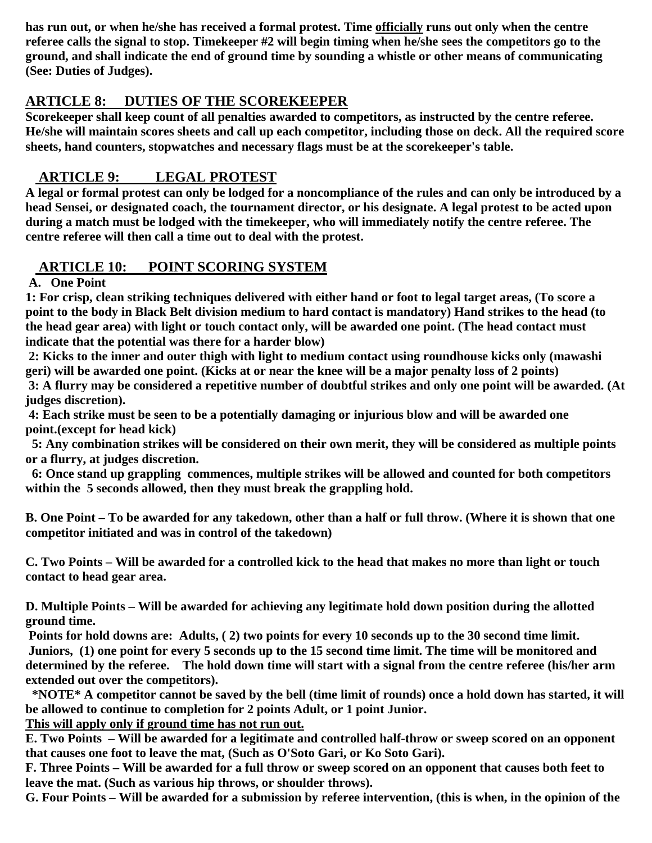**has run out, or when he/she has received a formal protest. Time officially runs out only when the centre referee calls the signal to stop. Timekeeper #2 will begin timing when he/she sees the competitors go to the ground, and shall indicate the end of ground time by sounding a whistle or other means of communicating (See: Duties of Judges).** 

## **ARTICLE 8: DUTIES OF THE SCOREKEEPER**

**Scorekeeper shall keep count of all penalties awarded to competitors, as instructed by the centre referee. He/she will maintain scores sheets and call up each competitor, including those on deck. All the required score sheets, hand counters, stopwatches and necessary flags must be at the scorekeeper's table.**

## **ARTICLE 9: LEGAL PROTEST**

**A legal or formal protest can only be lodged for a noncompliance of the rules and can only be introduced by a head Sensei, or designated coach, the tournament director, or his designate. A legal protest to be acted upon during a match must be lodged with the timekeeper, who will immediately notify the centre referee. The centre referee will then call a time out to deal with the protest.**

## **ARTICLE 10: POINT SCORING SYSTEM**

 **A. One Point**

**1: For crisp, clean striking techniques delivered with either hand or foot to legal target areas, (To score a point to the body in Black Belt division medium to hard contact is mandatory) Hand strikes to the head (to the head gear area) with light or touch contact only, will be awarded one point. (The head contact must indicate that the potential was there for a harder blow)**

 **2: Kicks to the inner and outer thigh with light to medium contact using roundhouse kicks only (mawashi geri) will be awarded one point. (Kicks at or near the knee will be a major penalty loss of 2 points) 3: A flurry may be considered a repetitive number of doubtful strikes and only one point will be awarded. (At judges discretion).**

 **4: Each strike must be seen to be a potentially damaging or injurious blow and will be awarded one point.(except for head kick)**

 **5: Any combination strikes will be considered on their own merit, they will be considered as multiple points or a flurry, at judges discretion.**

 **6: Once stand up grappling commences, multiple strikes will be allowed and counted for both competitors within the 5 seconds allowed, then they must break the grappling hold.**

**B. One Point – To be awarded for any takedown, other than a half or full throw. (Where it is shown that one competitor initiated and was in control of the takedown)**

**C. Two Points – Will be awarded for a controlled kick to the head that makes no more than light or touch contact to head gear area.**

**D. Multiple Points – Will be awarded for achieving any legitimate hold down position during the allotted ground time.**

 **Points for hold downs are: Adults, ( 2) two points for every 10 seconds up to the 30 second time limit. Juniors, (1) one point for every 5 seconds up to the 15 second time limit. The time will be monitored and determined by the referee. The hold down time will start with a signal from the centre referee (his/her arm extended out over the competitors).**

 **\*NOTE\* A competitor cannot be saved by the bell (time limit of rounds) once a hold down has started, it will be allowed to continue to completion for 2 points Adult, or 1 point Junior.**

**This will apply only if ground time has not run out.**

**E. Two Points – Will be awarded for a legitimate and controlled half-throw or sweep scored on an opponent that causes one foot to leave the mat, (Such as O'Soto Gari, or Ko Soto Gari).**

**F. Three Points – Will be awarded for a full throw or sweep scored on an opponent that causes both feet to leave the mat. (Such as various hip throws, or shoulder throws).**

**G. Four Points – Will be awarded for a submission by referee intervention, (this is when, in the opinion of the**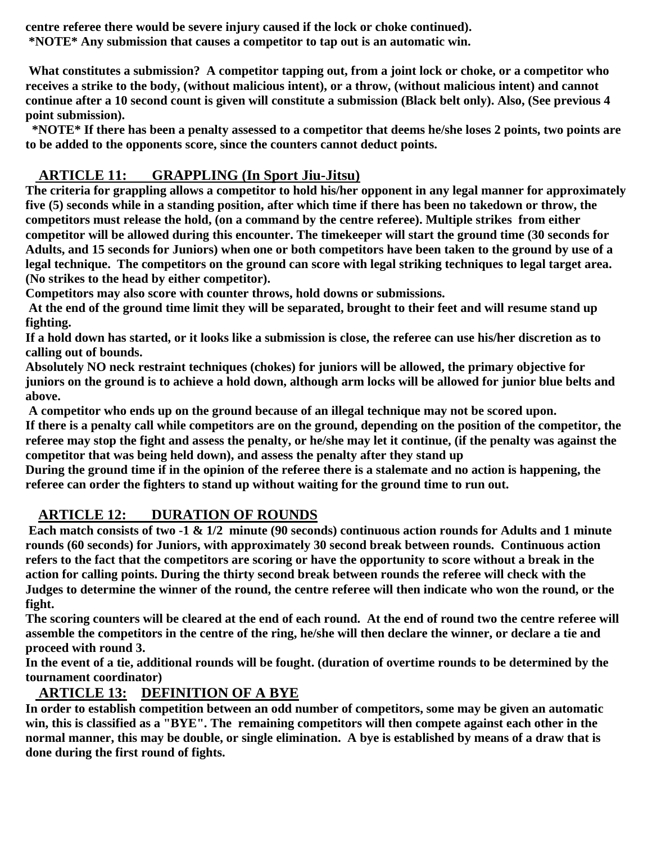**centre referee there would be severe injury caused if the lock or choke continued). \*NOTE\* Any submission that causes a competitor to tap out is an automatic win.**

 **What constitutes a submission? A competitor tapping out, from a joint lock or choke, or a competitor who receives a strike to the body, (without malicious intent), or a throw, (without malicious intent) and cannot continue after a 10 second count is given will constitute a submission (Black belt only). Also, (See previous 4 point submission).**

 **\*NOTE\* If there has been a penalty assessed to a competitor that deems he/she loses 2 points, two points are to be added to the opponents score, since the counters cannot deduct points.**

## **ARTICLE 11: GRAPPLING (In Sport Jiu-Jitsu)**

**The criteria for grappling allows a competitor to hold his/her opponent in any legal manner for approximately five (5) seconds while in a standing position, after which time if there has been no takedown or throw, the competitors must release the hold, (on a command by the centre referee). Multiple strikes from either competitor will be allowed during this encounter. The timekeeper will start the ground time (30 seconds for Adults, and 15 seconds for Juniors) when one or both competitors have been taken to the ground by use of a legal technique. The competitors on the ground can score with legal striking techniques to legal target area. (No strikes to the head by either competitor).**

**Competitors may also score with counter throws, hold downs or submissions.**

 **At the end of the ground time limit they will be separated, brought to their feet and will resume stand up fighting.**

**If a hold down has started, or it looks like a submission is close, the referee can use his/her discretion as to calling out of bounds.**

**Absolutely NO neck restraint techniques (chokes) for juniors will be allowed, the primary objective for juniors on the ground is to achieve a hold down, although arm locks will be allowed for junior blue belts and above.**

 **A competitor who ends up on the ground because of an illegal technique may not be scored upon.**

**If there is a penalty call while competitors are on the ground, depending on the position of the competitor, the referee may stop the fight and assess the penalty, or he/she may let it continue, (if the penalty was against the competitor that was being held down), and assess the penalty after they stand up**

**During the ground time if in the opinion of the referee there is a stalemate and no action is happening, the referee can order the fighters to stand up without waiting for the ground time to run out.**

## **ARTICLE 12: DURATION OF ROUNDS**

 **Each match consists of two -1 & 1/2 minute (90 seconds) continuous action rounds for Adults and 1 minute rounds (60 seconds) for Juniors, with approximately 30 second break between rounds. Continuous action refers to the fact that the competitors are scoring or have the opportunity to score without a break in the action for calling points. During the thirty second break between rounds the referee will check with the Judges to determine the winner of the round, the centre referee will then indicate who won the round, or the fight.**

**The scoring counters will be cleared at the end of each round. At the end of round two the centre referee will assemble the competitors in the centre of the ring, he/she will then declare the winner, or declare a tie and proceed with round 3.**

**In the event of a tie, additional rounds will be fought. (duration of overtime rounds to be determined by the tournament coordinator)**

## **ARTICLE 13: DEFINITION OF A BYE**

**In order to establish competition between an odd number of competitors, some may be given an automatic win, this is classified as a "BYE". The remaining competitors will then compete against each other in the normal manner, this may be double, or single elimination. A bye is established by means of a draw that is done during the first round of fights.**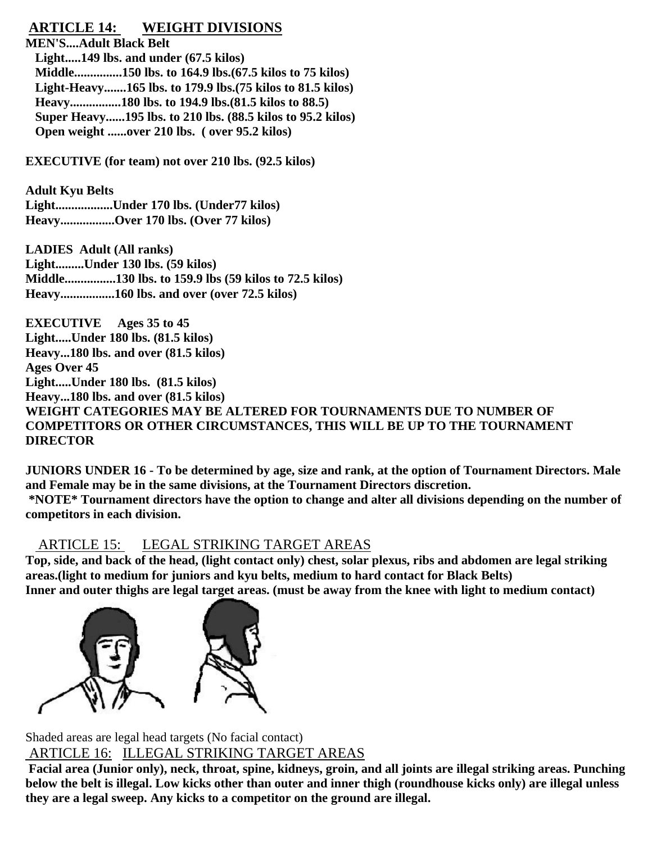## **ARTICLE 14: WEIGHT DIVISIONS**

**MEN'S....Adult Black Belt Light.....149 lbs. and under (67.5 kilos) Middle...............150 lbs. to 164.9 lbs.(67.5 kilos to 75 kilos) Light-Heavy.......165 lbs. to 179.9 lbs.(75 kilos to 81.5 kilos) Heavy................180 lbs. to 194.9 lbs.(81.5 kilos to 88.5) Super Heavy......195 lbs. to 210 lbs. (88.5 kilos to 95.2 kilos) Open weight ......over 210 lbs. ( over 95.2 kilos)**

**EXECUTIVE (for team) not over 210 lbs. (92.5 kilos)**

**Adult Kyu Belts Light..................Under 170 lbs. (Under77 kilos) Heavy.................Over 170 lbs. (Over 77 kilos)**

**LADIES Adult (All ranks) Light.........Under 130 lbs. (59 kilos) Middle................130 lbs. to 159.9 lbs (59 kilos to 72.5 kilos) Heavy.................160 lbs. and over (over 72.5 kilos)**

**EXECUTIVE Ages 35 to 45 Light.....Under 180 lbs. (81.5 kilos) Heavy...180 lbs. and over (81.5 kilos) Ages Over 45 Light.....Under 180 lbs. (81.5 kilos) Heavy...180 lbs. and over (81.5 kilos) WEIGHT CATEGORIES MAY BE ALTERED FOR TOURNAMENTS DUE TO NUMBER OF COMPETITORS OR OTHER CIRCUMSTANCES, THIS WILL BE UP TO THE TOURNAMENT DIRECTOR**

**JUNIORS UNDER 16 - To be determined by age, size and rank, at the option of Tournament Directors. Male and Female may be in the same divisions, at the Tournament Directors discretion. \*NOTE\* Tournament directors have the option to change and alter all divisions depending on the number of competitors in each division.**

ARTICLE 15: LEGAL STRIKING TARGET AREAS

**Top, side, and back of the head, (light contact only) chest, solar plexus, ribs and abdomen are legal striking areas.(light to medium for juniors and kyu belts, medium to hard contact for Black Belts) Inner and outer thighs are legal target areas. (must be away from the knee with light to medium contact)** 



Shaded areas are legal head targets (No facial contact) ARTICLE 16: ILLEGAL STRIKING TARGET AREAS

 **Facial area (Junior only), neck, throat, spine, kidneys, groin, and all joints are illegal striking areas. Punching below the belt is illegal. Low kicks other than outer and inner thigh (roundhouse kicks only) are illegal unless they are a legal sweep. Any kicks to a competitor on the ground are illegal.**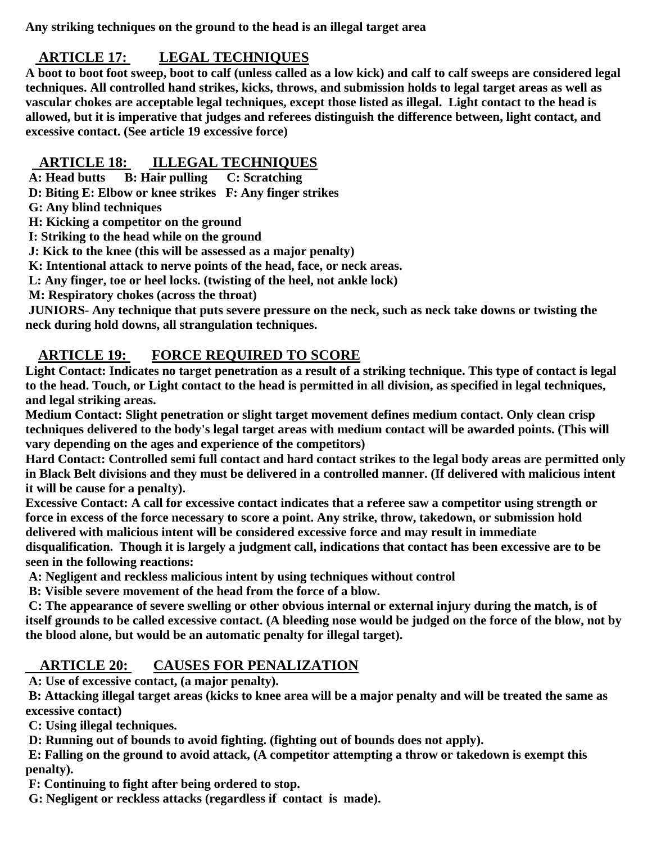**Any striking techniques on the ground to the head is an illegal target area** 

#### **ARTICLE 17: LEGAL TECHNIQUES**

**A boot to boot foot sweep, boot to calf (unless called as a low kick) and calf to calf sweeps are considered legal techniques. All controlled hand strikes, kicks, throws, and submission holds to legal target areas as well as vascular chokes are acceptable legal techniques, except those listed as illegal. Light contact to the head is allowed, but it is imperative that judges and referees distinguish the difference between, light contact, and excessive contact. (See article 19 excessive force)**

#### **ARTICLE 18: ILLEGAL TECHNIQUES**

 **A: Head butts B: Hair pulling C: Scratching**

 **D: Biting E: Elbow or knee strikes F: Any finger strikes**

 **G: Any blind techniques**

 **H: Kicking a competitor on the ground**

 **I: Striking to the head while on the ground**

 **J: Kick to the knee (this will be assessed as a major penalty)**

 **K: Intentional attack to nerve points of the head, face, or neck areas.**

 **L: Any finger, toe or heel locks. (twisting of the heel, not ankle lock)**

**M: Respiratory chokes (across the throat)**

 **JUNIORS- Any technique that puts severe pressure on the neck, such as neck take downs or twisting the neck during hold downs, all strangulation techniques.**

## **ARTICLE 19: FORCE REQUIRED TO SCORE**

**Light Contact: Indicates no target penetration as a result of a striking technique. This type of contact is legal to the head. Touch, or Light contact to the head is permitted in all division, as specified in legal techniques, and legal striking areas.**

**Medium Contact: Slight penetration or slight target movement defines medium contact. Only clean crisp techniques delivered to the body's legal target areas with medium contact will be awarded points. (This will vary depending on the ages and experience of the competitors)**

**Hard Contact: Controlled semi full contact and hard contact strikes to the legal body areas are permitted only in Black Belt divisions and they must be delivered in a controlled manner. (If delivered with malicious intent it will be cause for a penalty).**

**Excessive Contact: A call for excessive contact indicates that a referee saw a competitor using strength or force in excess of the force necessary to score a point. Any strike, throw, takedown, or submission hold delivered with malicious intent will be considered excessive force and may result in immediate** 

**disqualification. Though it is largely a judgment call, indications that contact has been excessive are to be seen in the following reactions:**

 **A: Negligent and reckless malicious intent by using techniques without control**

 **B: Visible severe movement of the head from the force of a blow.**

 **C: The appearance of severe swelling or other obvious internal or external injury during the match, is of itself grounds to be called excessive contact. (A bleeding nose would be judged on the force of the blow, not by the blood alone, but would be an automatic penalty for illegal target).**

#### **ARTICLE 20: CAUSES FOR PENALIZATION**

 **A: Use of excessive contact, (a major penalty).**

 **B: Attacking illegal target areas (kicks to knee area will be a major penalty and will be treated the same as excessive contact)**

 **C: Using illegal techniques.**

 **D: Running out of bounds to avoid fighting. (fighting out of bounds does not apply).**

 **E: Falling on the ground to avoid attack, (A competitor attempting a throw or takedown is exempt this penalty).**

 **F: Continuing to fight after being ordered to stop.**

 **G: Negligent or reckless attacks (regardless if contact is made).**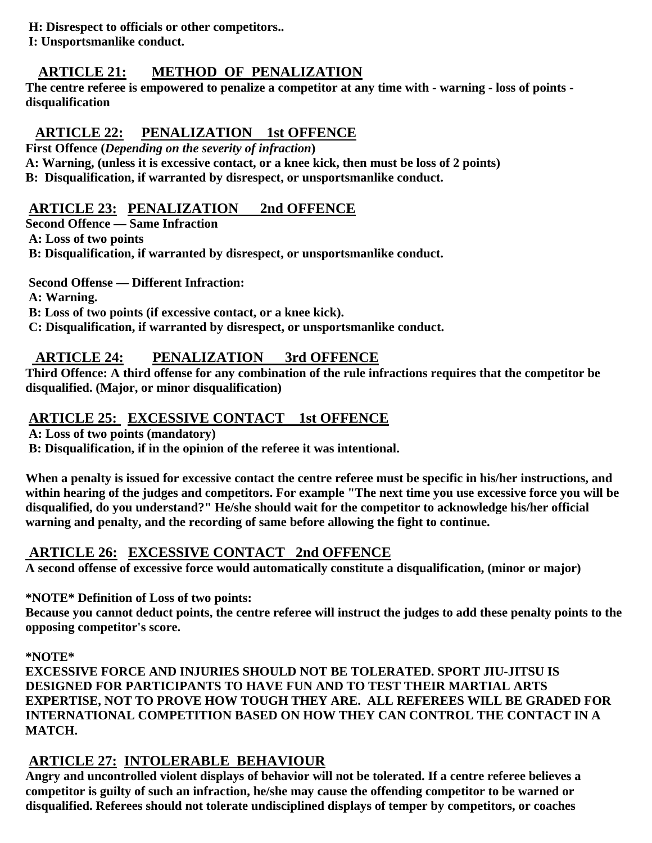**H: Disrespect to officials or other competitors..**

 **I: Unsportsmanlike conduct.**

# **ARTICLE 21: METHOD OF PENALIZATION**

**The centre referee is empowered to penalize a competitor at any time with - warning - loss of points disqualification**

# **ARTICLE 22: PENALIZATION 1st OFFENCE**

**First Offence (***Depending on the severity of infraction***)**

**A: Warning, (unless it is excessive contact, or a knee kick, then must be loss of 2 points) B: Disqualification, if warranted by disrespect, or unsportsmanlike conduct.**

# **ARTICLE 23: PENALIZATION 2nd OFFENCE**

**Second Offence — Same Infraction A: Loss of two points**

 **B: Disqualification, if warranted by disrespect, or unsportsmanlike conduct.**

 **Second Offense — Different Infraction:**

 **A: Warning.**

 **B: Loss of two points (if excessive contact, or a knee kick).**

 **C: Disqualification, if warranted by disrespect, or unsportsmanlike conduct.**

# **ARTICLE 24: PENALIZATION 3rd OFFENCE**

**Third Offence: A third offense for any combination of the rule infractions requires that the competitor be disqualified. (Major, or minor disqualification)**

# **ARTICLE 25: EXCESSIVE CONTACT 1st OFFENCE**

 **A: Loss of two points (mandatory)**

 **B: Disqualification, if in the opinion of the referee it was intentional.**

**When a penalty is issued for excessive contact the centre referee must be specific in his/her instructions, and within hearing of the judges and competitors. For example "The next time you use excessive force you will be disqualified, do you understand?" He/she should wait for the competitor to acknowledge his/her official warning and penalty, and the recording of same before allowing the fight to continue.**

# **ARTICLE 26: EXCESSIVE CONTACT 2nd OFFENCE**

**A second offense of excessive force would automatically constitute a disqualification, (minor or major)**

# **\*NOTE\* Definition of Loss of two points:**

**Because you cannot deduct points, the centre referee will instruct the judges to add these penalty points to the opposing competitor's score.**

## **\*NOTE\***

**EXCESSIVE FORCE AND INJURIES SHOULD NOT BE TOLERATED. SPORT JIU-JITSU IS DESIGNED FOR PARTICIPANTS TO HAVE FUN AND TO TEST THEIR MARTIAL ARTS EXPERTISE, NOT TO PROVE HOW TOUGH THEY ARE. ALL REFEREES WILL BE GRADED FOR INTERNATIONAL COMPETITION BASED ON HOW THEY CAN CONTROL THE CONTACT IN A MATCH.**

# **ARTICLE 27: INTOLERABLE BEHAVIOUR**

**Angry and uncontrolled violent displays of behavior will not be tolerated. If a centre referee believes a competitor is guilty of such an infraction, he/she may cause the offending competitor to be warned or disqualified. Referees should not tolerate undisciplined displays of temper by competitors, or coaches**